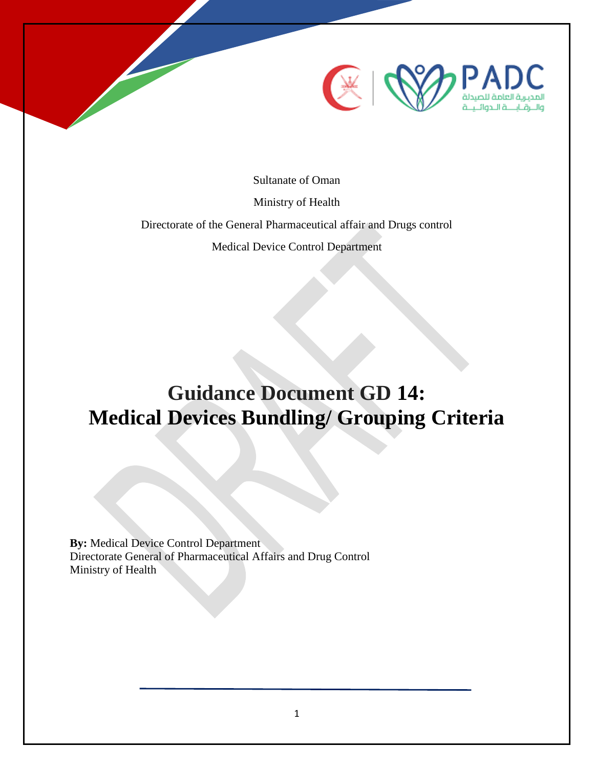

Sultanate of Oman

Ministry of Health

Directorate of the General Pharmaceutical affair and Drugs control

Medical Device Control Department

# **Guidance Document GD 14: Medical Devices Bundling/ Grouping Criteria**

**By: Medical Device Control Department** Directorate General of Pharmaceutical Affairs and Drug Control Ministry of Health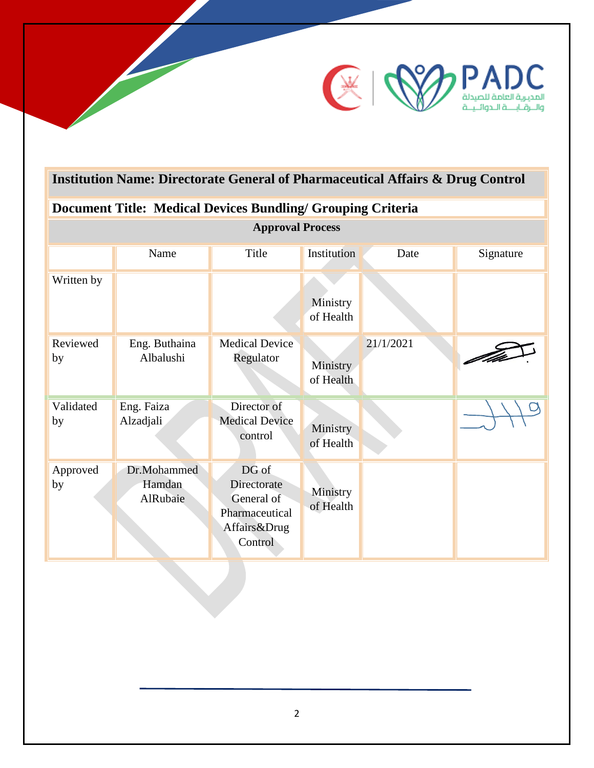

# **Institution Name: Directorate General of Pharmaceutical Affairs & Drug Control**

# **Document Title: Medical Devices Bundling/ Grouping Criteria**

| <b>Approval Process</b> |                                   |                                                                                 |                       |           |           |
|-------------------------|-----------------------------------|---------------------------------------------------------------------------------|-----------------------|-----------|-----------|
|                         | Name                              | Title                                                                           | Institution           | Date      | Signature |
| Written by              |                                   |                                                                                 | Ministry<br>of Health |           |           |
| Reviewed<br>by          | Eng. Buthaina<br>Albalushi        | Medical Device<br>Regulator                                                     | Ministry<br>of Health | 21/1/2021 |           |
| Validated<br>by         | Eng. Faiza<br>Alzadjali           | Director of<br><b>Medical Device</b><br>control                                 | Ministry<br>of Health |           |           |
| Approved<br>by          | Dr.Mohammed<br>Hamdan<br>AlRubaie | DG of<br>Directorate<br>General of<br>Pharmaceutical<br>Affairs&Drug<br>Control | Ministry<br>of Health |           |           |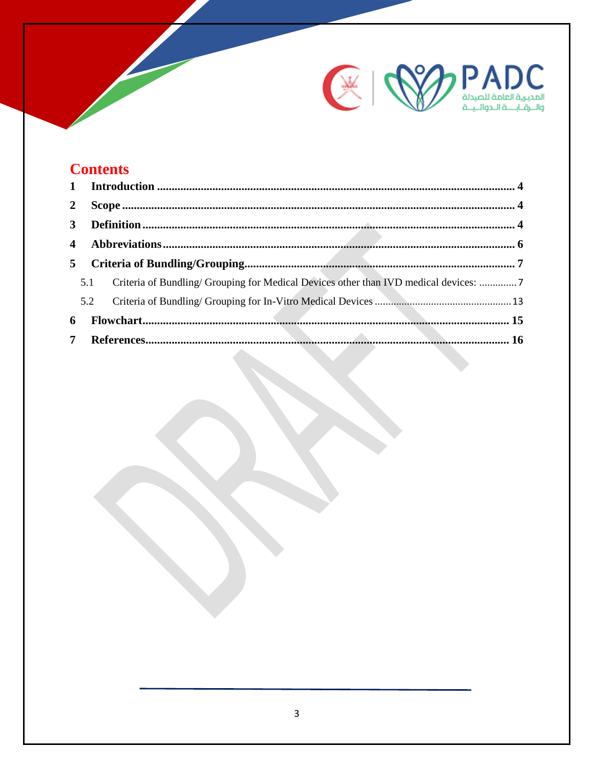

# **Contents**

| $\overline{2}$          |     |                                                                                      |  |
|-------------------------|-----|--------------------------------------------------------------------------------------|--|
| 3 <sup>1</sup>          |     |                                                                                      |  |
| $\overline{\mathbf{4}}$ |     |                                                                                      |  |
| 5 <sup>5</sup>          |     |                                                                                      |  |
|                         | 5.1 | Criteria of Bundling/ Grouping for Medical Devices other than IVD medical devices: 7 |  |
|                         | 5.2 |                                                                                      |  |
| 6                       |     |                                                                                      |  |
|                         |     |                                                                                      |  |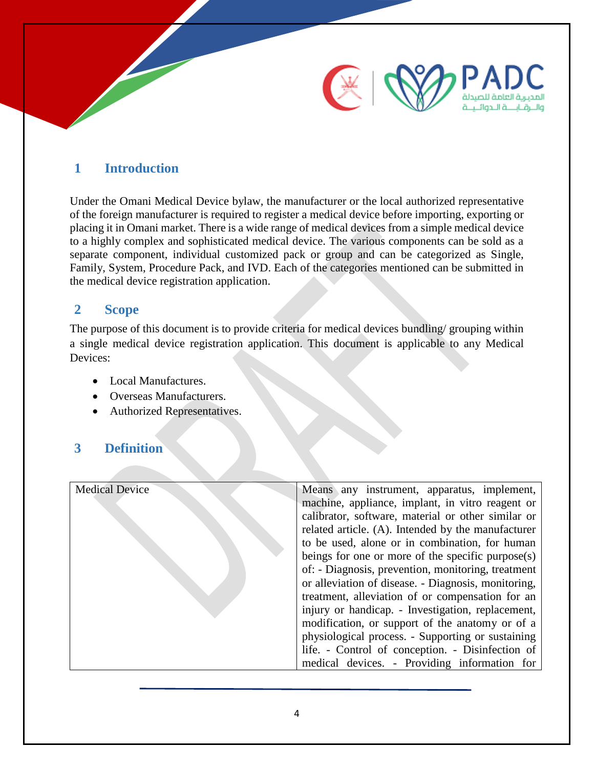

### <span id="page-3-0"></span>**1 Introduction**

Under the Omani Medical Device bylaw, the manufacturer or the local authorized representative of the foreign manufacturer is required to register a medical device before importing, exporting or placing it in Omani market. There is a wide range of medical devices from a simple medical device to a highly complex and sophisticated medical device. The various components can be sold as a separate component, individual customized pack or group and can be categorized as Single, Family, System, Procedure Pack, and IVD. Each of the categories mentioned can be submitted in the medical device registration application.

#### <span id="page-3-1"></span>**2 Scope**

The purpose of this document is to provide criteria for medical devices bundling/ grouping within a single medical device registration application. This document is applicable to any Medical Devices:

- Local Manufactures.
- Overseas Manufacturers.
- Authorized Representatives.

### <span id="page-3-2"></span>**3 Definition**

| <b>Medical Device</b> | Means any instrument, apparatus, implement,          |
|-----------------------|------------------------------------------------------|
|                       | machine, appliance, implant, in vitro reagent or     |
|                       | calibrator, software, material or other similar or   |
|                       | related article. (A). Intended by the manufacturer   |
|                       | to be used, alone or in combination, for human       |
|                       | beings for one or more of the specific purpose $(s)$ |
|                       | of: - Diagnosis, prevention, monitoring, treatment   |
|                       | or alleviation of disease. - Diagnosis, monitoring,  |
|                       | treatment, alleviation of or compensation for an     |
|                       | injury or handicap. - Investigation, replacement,    |
|                       | modification, or support of the anatomy or of a      |
|                       | physiological process. - Supporting or sustaining    |
|                       | life. - Control of conception. - Disinfection of     |
|                       | medical devices. - Providing information for         |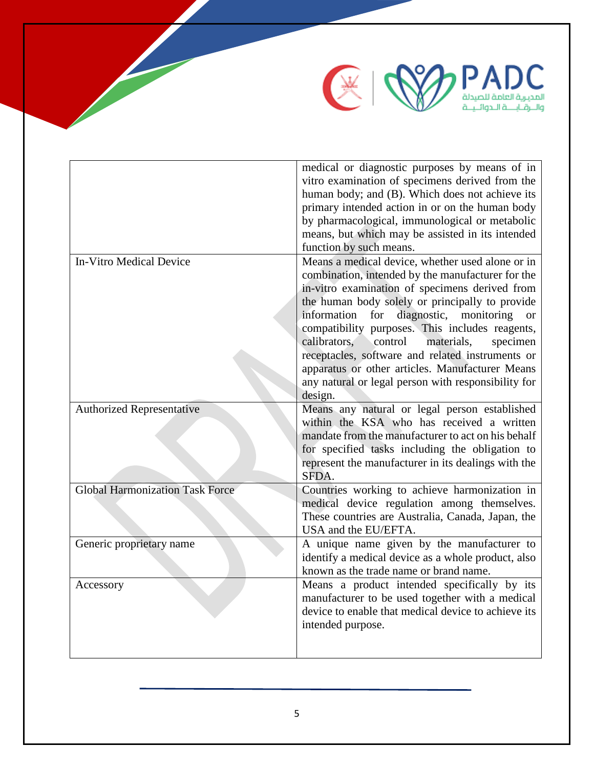

|                                        | medical or diagnostic purposes by means of in             |
|----------------------------------------|-----------------------------------------------------------|
|                                        | vitro examination of specimens derived from the           |
|                                        | human body; and (B). Which does not achieve its           |
|                                        | primary intended action in or on the human body           |
|                                        | by pharmacological, immunological or metabolic            |
|                                        | means, but which may be assisted in its intended          |
|                                        | function by such means.                                   |
| <b>In-Vitro Medical Device</b>         | Means a medical device, whether used alone or in          |
|                                        | combination, intended by the manufacturer for the         |
|                                        | in-vitro examination of specimens derived from            |
|                                        | the human body solely or principally to provide           |
|                                        | diagnostic, monitoring<br>information<br>for<br><b>or</b> |
|                                        | compatibility purposes. This includes reagents,           |
|                                        | control<br>calibrators,<br>materials,<br>specimen         |
|                                        | receptacles, software and related instruments or          |
|                                        | apparatus or other articles. Manufacturer Means           |
|                                        | any natural or legal person with responsibility for       |
|                                        | design.                                                   |
| <b>Authorized Representative</b>       | Means any natural or legal person established             |
|                                        | within the KSA who has received a written                 |
|                                        | mandate from the manufacturer to act on his behalf        |
|                                        | for specified tasks including the obligation to           |
|                                        | represent the manufacturer in its dealings with the       |
|                                        | SFDA.                                                     |
| <b>Global Harmonization Task Force</b> | Countries working to achieve harmonization in             |
|                                        | medical device regulation among themselves.               |
|                                        | These countries are Australia, Canada, Japan, the         |
|                                        | USA and the EU/EFTA.                                      |
| Generic proprietary name               | A unique name given by the manufacturer to                |
|                                        | identify a medical device as a whole product, also        |
|                                        | known as the trade name or brand name.                    |
| Accessory                              | Means a product intended specifically by its              |
|                                        | manufacturer to be used together with a medical           |
|                                        | device to enable that medical device to achieve its       |
|                                        | intended purpose.                                         |
|                                        |                                                           |
|                                        |                                                           |

**Participation**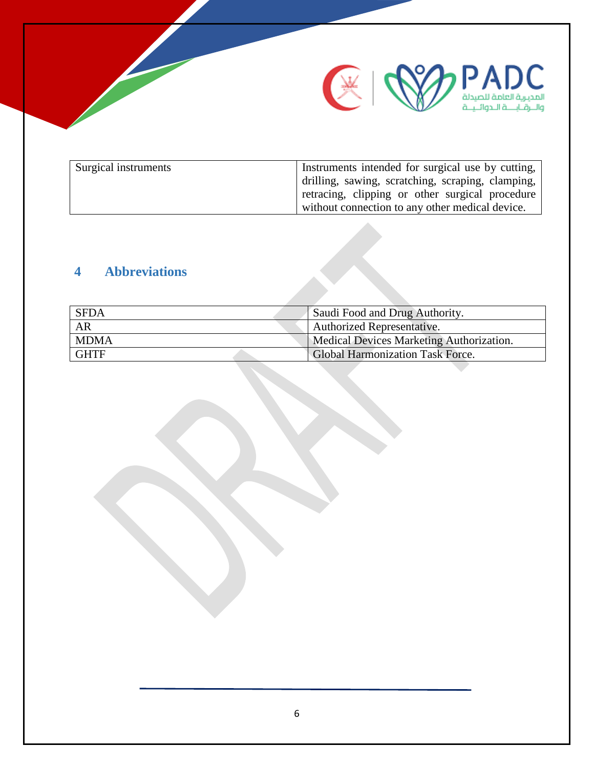

| Surgical instruments | Instruments intended for surgical use by cutting, |
|----------------------|---------------------------------------------------|
|                      | drilling, sawing, scratching, scraping, clamping, |
|                      | retracing, clipping or other surgical procedure   |
|                      | without connection to any other medical device.   |

# <span id="page-5-0"></span>**4 Abbreviations**

| <b>SFDA</b> | Saudi Food and Drug Authority.           |
|-------------|------------------------------------------|
| AR          | <b>Authorized Representative.</b>        |
| <b>MDMA</b> | Medical Devices Marketing Authorization. |
| <b>GHTF</b> | <b>Global Harmonization Task Force.</b>  |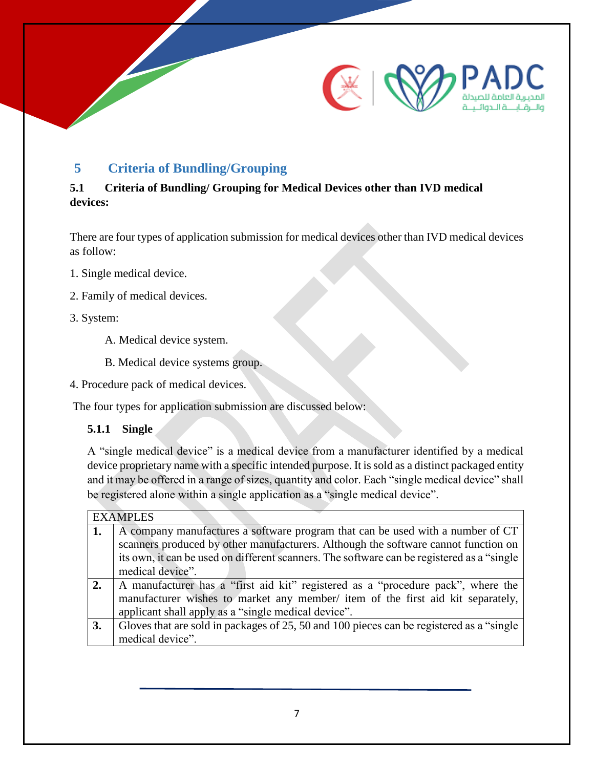

## <span id="page-6-0"></span>**5 Criteria of Bundling/Grouping**

#### <span id="page-6-1"></span>**5.1 Criteria of Bundling/ Grouping for Medical Devices other than IVD medical devices:**

There are four types of application submission for medical devices other than IVD medical devices as follow:

- 1. Single medical device.
- 2. Family of medical devices.
- 3. System:
	- A. Medical device system.
	- B. Medical device systems group.
- 4. Procedure pack of medical devices.

The four types for application submission are discussed below:

**5.1.1 Single** 

A "single medical device" is a medical device from a manufacturer identified by a medical device proprietary name with a specific intended purpose. It is sold as a distinct packaged entity and it may be offered in a range of sizes, quantity and color. Each "single medical device" shall be registered alone within a single application as a "single medical device".

|    | <b>EXAMPLES</b>                                                                             |
|----|---------------------------------------------------------------------------------------------|
| 1. | A company manufactures a software program that can be used with a number of CT              |
|    | scanners produced by other manufacturers. Although the software cannot function on          |
|    | its own, it can be used on different scanners. The software can be registered as a "single" |
|    | medical device".                                                                            |
| 2. | A manufacturer has a "first aid kit" registered as a "procedure pack", where the            |
|    | manufacturer wishes to market any member/ item of the first aid kit separately,             |
|    | applicant shall apply as a "single medical device".                                         |
| 3. | Gloves that are sold in packages of 25, 50 and 100 pieces can be registered as a "single"   |
|    | medical device".                                                                            |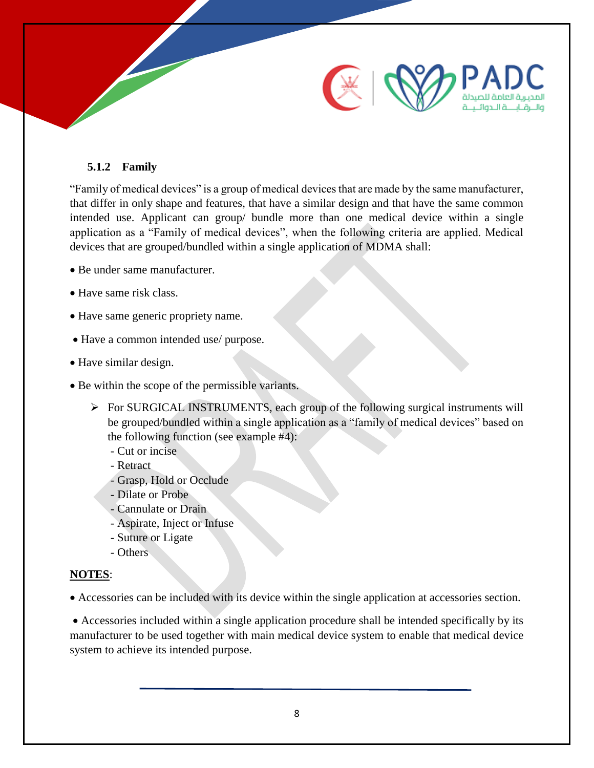

#### **5.1.2 Family**

"Family of medical devices" is a group of medical devices that are made by the same manufacturer, that differ in only shape and features, that have a similar design and that have the same common intended use. Applicant can group/ bundle more than one medical device within a single application as a "Family of medical devices", when the following criteria are applied. Medical devices that are grouped/bundled within a single application of MDMA shall:

- Be under same manufacturer.
- Have same risk class.
- Have same generic propriety name.
- Have a common intended use/ purpose.
- Have similar design.
- Be within the scope of the permissible variants.
	- For SURGICAL INSTRUMENTS, each group of the following surgical instruments will be grouped/bundled within a single application as a "family of medical devices" based on the following function (see example #4):
		- Cut or incise
		- Retract
		- Grasp, Hold or Occlude
		- Dilate or Probe
		- Cannulate or Drain
		- Aspirate, Inject or Infuse
		- Suture or Ligate
		- Others

#### **NOTES**:

Accessories can be included with its device within the single application at accessories section.

 Accessories included within a single application procedure shall be intended specifically by its manufacturer to be used together with main medical device system to enable that medical device system to achieve its intended purpose.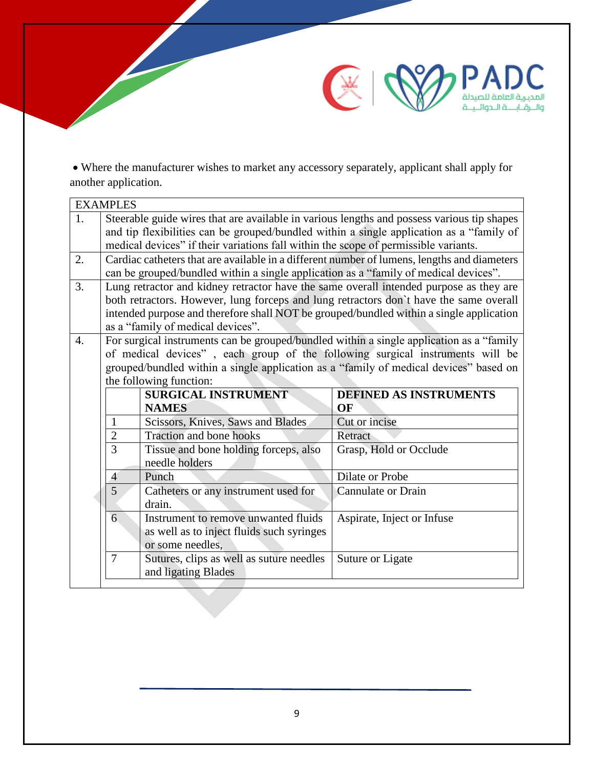

 Where the manufacturer wishes to market any accessory separately, applicant shall apply for another application.

| Steerable guide wires that are available in various lengths and possess various tip shapes<br>1.<br>and tip flexibilities can be grouped/bundled within a single application as a "family of<br>medical devices" if their variations fall within the scope of permissible variants.<br>2.<br>Cardiac catheters that are available in a different number of lumens, lengths and diameters<br>can be grouped/bundled within a single application as a "family of medical devices".<br>3.<br>Lung retractor and kidney retractor have the same overall intended purpose as they are |  |
|----------------------------------------------------------------------------------------------------------------------------------------------------------------------------------------------------------------------------------------------------------------------------------------------------------------------------------------------------------------------------------------------------------------------------------------------------------------------------------------------------------------------------------------------------------------------------------|--|
|                                                                                                                                                                                                                                                                                                                                                                                                                                                                                                                                                                                  |  |
|                                                                                                                                                                                                                                                                                                                                                                                                                                                                                                                                                                                  |  |
|                                                                                                                                                                                                                                                                                                                                                                                                                                                                                                                                                                                  |  |
|                                                                                                                                                                                                                                                                                                                                                                                                                                                                                                                                                                                  |  |
|                                                                                                                                                                                                                                                                                                                                                                                                                                                                                                                                                                                  |  |
|                                                                                                                                                                                                                                                                                                                                                                                                                                                                                                                                                                                  |  |
| both retractors. However, lung forceps and lung retractors don't have the same overall                                                                                                                                                                                                                                                                                                                                                                                                                                                                                           |  |
| intended purpose and therefore shall NOT be grouped/bundled within a single application                                                                                                                                                                                                                                                                                                                                                                                                                                                                                          |  |
| as a "family of medical devices".                                                                                                                                                                                                                                                                                                                                                                                                                                                                                                                                                |  |
| For surgical instruments can be grouped/bundled within a single application as a "family<br>$\overline{4}$ .                                                                                                                                                                                                                                                                                                                                                                                                                                                                     |  |
| of medical devices", each group of the following surgical instruments will be                                                                                                                                                                                                                                                                                                                                                                                                                                                                                                    |  |
| grouped/bundled within a single application as a "family of medical devices" based on<br>the following function:                                                                                                                                                                                                                                                                                                                                                                                                                                                                 |  |
| <b>SURGICAL INSTRUMENT</b><br><b>DEFINED AS INSTRUMENTS</b>                                                                                                                                                                                                                                                                                                                                                                                                                                                                                                                      |  |
| <b>NAMES</b><br>OF                                                                                                                                                                                                                                                                                                                                                                                                                                                                                                                                                               |  |
| Scissors, Knives, Saws and Blades<br>Cut or incise<br>1                                                                                                                                                                                                                                                                                                                                                                                                                                                                                                                          |  |
| $\overline{2}$<br><b>Traction and bone hooks</b><br>Retract                                                                                                                                                                                                                                                                                                                                                                                                                                                                                                                      |  |
| $\overline{3}$<br>Tissue and bone holding forceps, also<br>Grasp, Hold or Occlude                                                                                                                                                                                                                                                                                                                                                                                                                                                                                                |  |
| needle holders                                                                                                                                                                                                                                                                                                                                                                                                                                                                                                                                                                   |  |
| Punch<br><b>Dilate or Probe</b><br>$\overline{4}$                                                                                                                                                                                                                                                                                                                                                                                                                                                                                                                                |  |
| $\overline{5}$<br>Catheters or any instrument used for<br><b>Cannulate or Drain</b>                                                                                                                                                                                                                                                                                                                                                                                                                                                                                              |  |
| drain.                                                                                                                                                                                                                                                                                                                                                                                                                                                                                                                                                                           |  |
| 6<br>Instrument to remove unwanted fluids<br>Aspirate, Inject or Infuse                                                                                                                                                                                                                                                                                                                                                                                                                                                                                                          |  |
| as well as to inject fluids such syringes                                                                                                                                                                                                                                                                                                                                                                                                                                                                                                                                        |  |
| or some needles.                                                                                                                                                                                                                                                                                                                                                                                                                                                                                                                                                                 |  |
| Sutures, clips as well as suture needles<br>$\overline{7}$<br>Suture or Ligate                                                                                                                                                                                                                                                                                                                                                                                                                                                                                                   |  |
| and ligating Blades                                                                                                                                                                                                                                                                                                                                                                                                                                                                                                                                                              |  |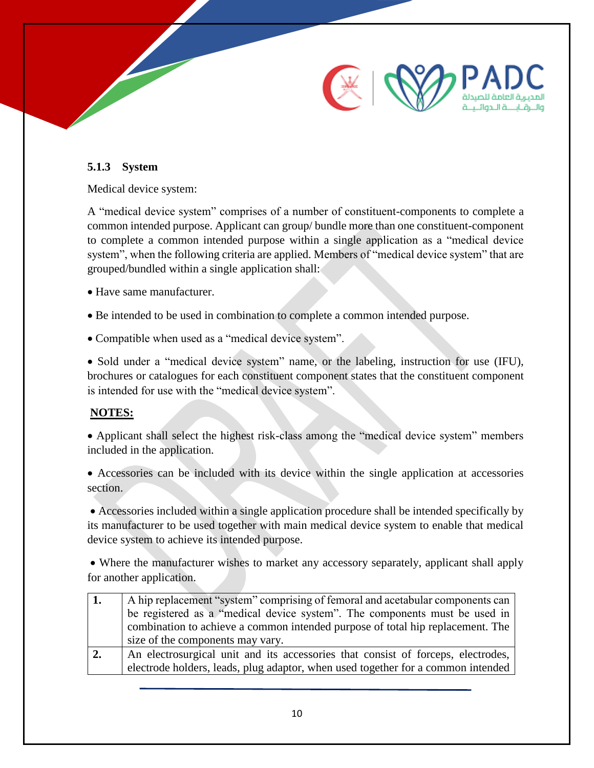

#### **5.1.3 System**

Medical device system:

A "medical device system" comprises of a number of constituent-components to complete a common intended purpose. Applicant can group/ bundle more than one constituent-component to complete a common intended purpose within a single application as a "medical device system", when the following criteria are applied. Members of "medical device system" that are grouped/bundled within a single application shall:

Have same manufacturer.

- Be intended to be used in combination to complete a common intended purpose.
- Compatible when used as a "medical device system".

• Sold under a "medical device system" name, or the labeling, instruction for use (IFU), brochures or catalogues for each constituent component states that the constituent component is intended for use with the "medical device system".

#### **NOTES:**

 Applicant shall select the highest risk-class among the "medical device system" members included in the application.

 Accessories can be included with its device within the single application at accessories section.

 Accessories included within a single application procedure shall be intended specifically by its manufacturer to be used together with main medical device system to enable that medical device system to achieve its intended purpose.

 Where the manufacturer wishes to market any accessory separately, applicant shall apply for another application.

|    | A hip replacement "system" comprising of femoral and acetabular components can   |
|----|----------------------------------------------------------------------------------|
|    | be registered as a "medical device system". The components must be used in       |
|    | combination to achieve a common intended purpose of total hip replacement. The   |
|    | size of the components may vary.                                                 |
| 2. | An electrosurgical unit and its accessories that consist of forceps, electrodes, |
|    | electrode holders, leads, plug adaptor, when used together for a common intended |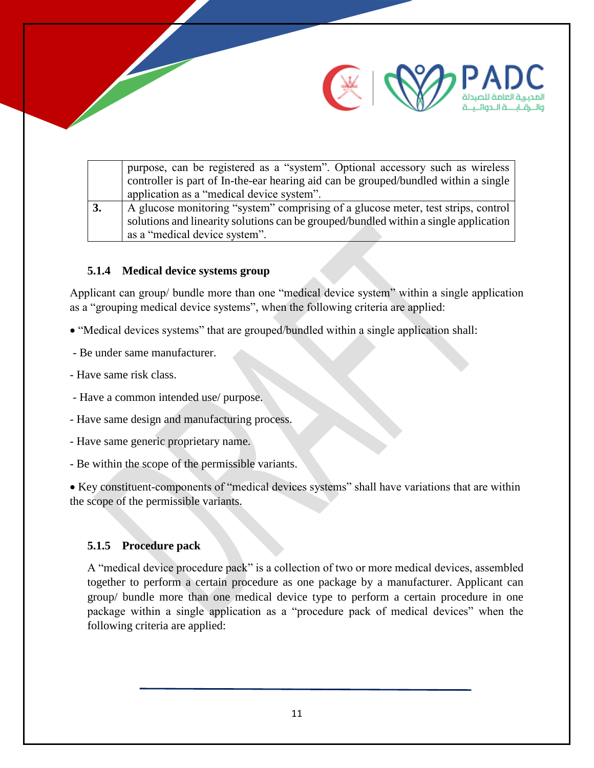



والبرقابية الحوائيية

#### **5.1.4 Medical device systems group**

Applicant can group/ bundle more than one "medical device system" within a single application as a "grouping medical device systems", when the following criteria are applied:

- "Medical devices systems" that are grouped/bundled within a single application shall:
- Be under same manufacturer.
- Have same risk class.
- Have a common intended use/ purpose.
- Have same design and manufacturing process.
- Have same generic proprietary name.
- Be within the scope of the permissible variants.

 Key constituent-components of "medical devices systems" shall have variations that are within the scope of the permissible variants.

#### **5.1.5 Procedure pack**

A "medical device procedure pack" is a collection of two or more medical devices, assembled together to perform a certain procedure as one package by a manufacturer. Applicant can group/ bundle more than one medical device type to perform a certain procedure in one package within a single application as a "procedure pack of medical devices" when the following criteria are applied: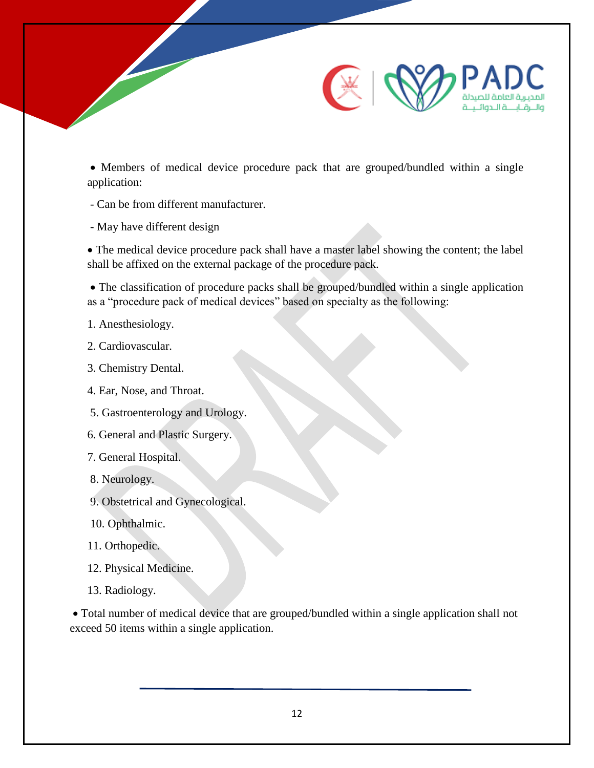

 Members of medical device procedure pack that are grouped/bundled within a single application:

- Can be from different manufacturer.
- May have different design

 The medical device procedure pack shall have a master label showing the content; the label shall be affixed on the external package of the procedure pack.

 The classification of procedure packs shall be grouped/bundled within a single application as a "procedure pack of medical devices" based on specialty as the following:

- 1. Anesthesiology.
- 2. Cardiovascular.
- 3. Chemistry Dental.
- 4. Ear, Nose, and Throat.
- 5. Gastroenterology and Urology.
- 6. General and Plastic Surgery.
- 7. General Hospital.
- 8. Neurology.
- 9. Obstetrical and Gynecological.
- 10. Ophthalmic.
- 11. Orthopedic.
- 12. Physical Medicine.
- 13. Radiology.

 Total number of medical device that are grouped/bundled within a single application shall not exceed 50 items within a single application.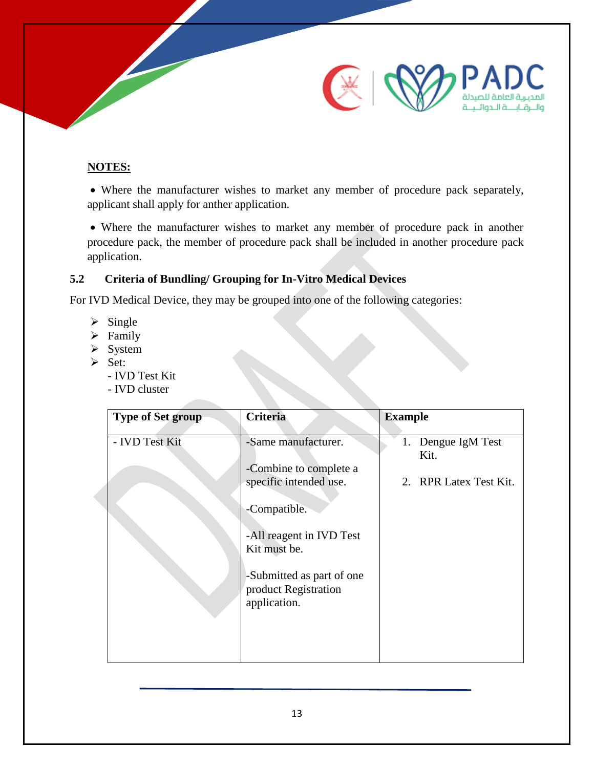

#### **NOTES:**

 Where the manufacturer wishes to market any member of procedure pack separately, applicant shall apply for anther application.

 Where the manufacturer wishes to market any member of procedure pack in another procedure pack, the member of procedure pack shall be included in another procedure pack application.

### <span id="page-12-0"></span>**5.2 Criteria of Bundling/ Grouping for In-Vitro Medical Devices**

For IVD Medical Device, they may be grouped into one of the following categories:

- $\triangleright$  Single
- $\triangleright$  Family
- $\triangleright$  System
- $\triangleright$  Set:
	- IVD Test Kit
	- IVD cluster

| <b>Type of Set group</b> | Criteria                                                                                                                                                                                                 | <b>Example</b>                                          |
|--------------------------|----------------------------------------------------------------------------------------------------------------------------------------------------------------------------------------------------------|---------------------------------------------------------|
| - IVD Test Kit           | -Same manufacturer.<br>-Combine to complete a<br>specific intended use.<br>-Compatible.<br>-All reagent in IVD Test<br>Kit must be.<br>-Submitted as part of one<br>product Registration<br>application. | Dengue IgM Test<br>1.<br>Kit.<br>2. RPR Latex Test Kit. |
|                          |                                                                                                                                                                                                          |                                                         |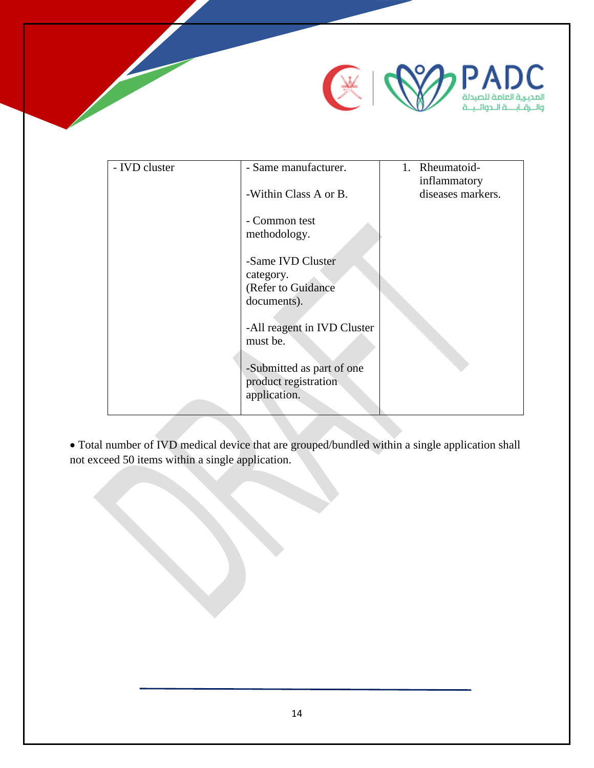

| - IVD cluster | - Same manufacturer.                              | 1. Rheumatoid-                    |
|---------------|---------------------------------------------------|-----------------------------------|
|               | -Within Class A or B.                             | inflammatory<br>diseases markers. |
|               | - Common test<br>methodology.                     |                                   |
|               | -Same IVD Cluster<br>category.                    |                                   |
|               | (Refer to Guidance                                |                                   |
|               | documents).                                       |                                   |
|               | -All reagent in IVD Cluster<br>must be.           |                                   |
|               |                                                   |                                   |
|               | -Submitted as part of one<br>product registration |                                   |
|               | application.                                      |                                   |
|               |                                                   |                                   |

 Total number of IVD medical device that are grouped/bundled within a single application shall not exceed 50 items within a single application.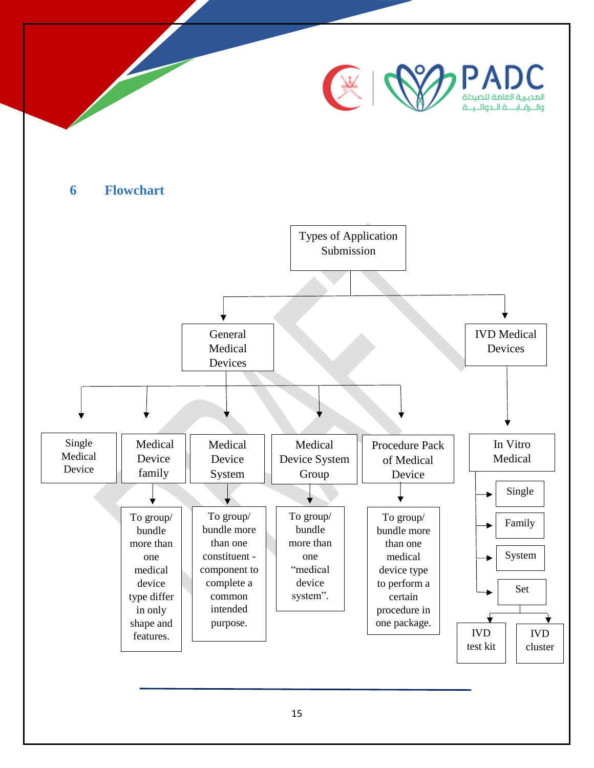<span id="page-14-0"></span>

15